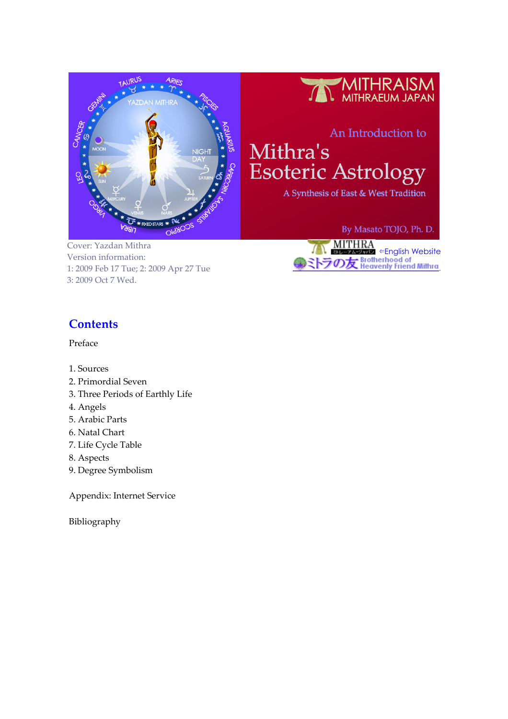



# An Introduction to

Mithra's **Esoteric Astrology** 

A Synthesis of East & West Tradition

Cover: Yazdan Mithra Version information: 1: 2009 Feb 17 Tue; 2: 2009 Apr 27 Tue 3: 2009 Oct 7 Wed.

By Masato TOJO, Ph. D.



# **Contents**

Preface

- 1. Sources
- 2. Primordial Seven
- 3. Three Periods of Earthly Life
- 4. Angels
- 5. Arabic Parts
- 6. Natal Chart
- 7. Life Cycle Table
- 8. Aspects
- 9. Degree Symbolism

Appendix: Internet Service

Bibliography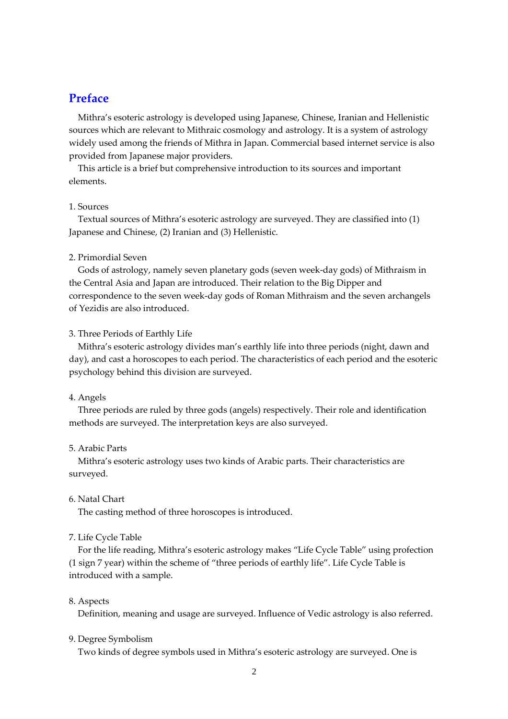# **Preface**

Mithra's esoteric astrology is developed using Japanese, Chinese, Iranian and Hellenistic sources which are relevant to Mithraic cosmology and astrology. It is a system of astrology widely used among the friends of Mithra in Japan. Commercial based internet service is also provided from Japanese major providers.

This article is a brief but comprehensive introduction to its sources and important elements.

#### 1. Sources

Textual sources of Mithra's esoteric astrology are surveyed. They are classified into (1) Japanese and Chinese, (2) Iranian and (3) Hellenistic.

### 2. Primordial Seven

Gods of astrology, namely seven planetary gods (seven week-day gods) of Mithraism in the Central Asia and Japan are introduced. Their relation to the Big Dipper and correspondence to the seven week-day gods of Roman Mithraism and the seven archangels of Yezidis are also introduced.

#### 3. Three Periods of Earthly Life

Mithra's esoteric astrology divides man's earthly life into three periods (night, dawn and day), and cast a horoscopes to each period. The characteristics of each period and the esoteric psychology behind this division are surveyed.

#### 4. Angels

Three periods are ruled by three gods (angels) respectively. Their role and identification methods are surveyed. The interpretation keys are also surveyed.

#### 5. Arabic Parts

Mithra's esoteric astrology uses two kinds of Arabic parts. Their characteristics are surveyed.

## 6. Natal Chart

The casting method of three horoscopes is introduced.

### 7. Life Cycle Table

For the life reading, Mithra's esoteric astrology makes "Life Cycle Table" using profection (1 sign 7 year) within the scheme of "three periods of earthly life". Life Cycle Table is introduced with a sample.

#### 8. Aspects

Definition, meaning and usage are surveyed. Influence of Vedic astrology is also referred.

#### 9. Degree Symbolism

Two kinds of degree symbols used in Mithra's esoteric astrology are surveyed. One is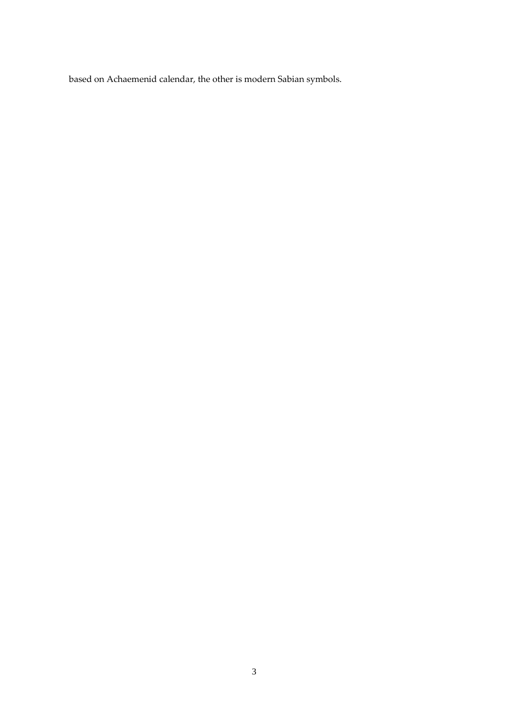based on Achaemenid calendar, the other is modern Sabian symbols.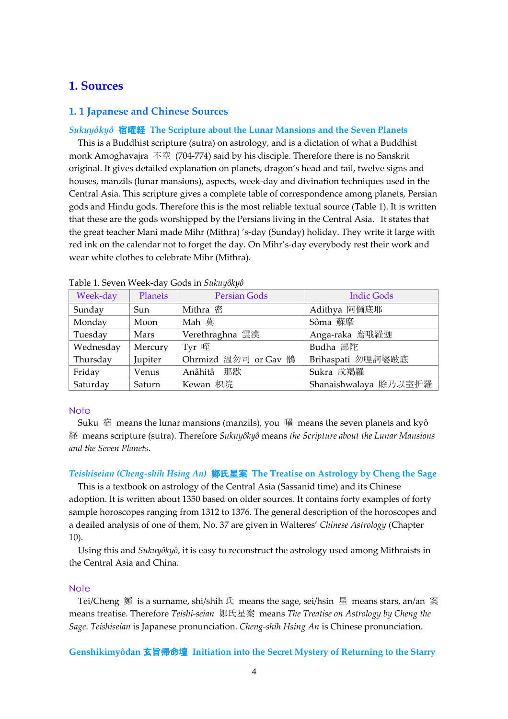## **1. Sources**

### **1. 1 Japanese and Chinese Sources**

#### *Sukuyôkyô* 宿曜経 **The Scripture about the Lunar Mansions and the Seven Planets**

This is a Buddhist scripture (sutra) on astrology, and is a dictation of what a Buddhist monk Amoghavajra 不空 (704-774) said by his disciple. Therefore there is no Sanskrit original. It gives detailed explanation on planets, dragon's head and tail, twelve signs and houses, manzils (lunar mansions), aspects, week-day and divination techniques used in the Central Asia. This scripture gives a complete table of correspondence among planets, Persian gods and Hindu gods. Therefore this is the most reliable textual source (Table 1). It is written that these are the gods worshipped by the Persians living in the Central Asia. It states that the great teacher Mani made Mihr (Mithra) 's-day (Sunday) holiday. They write it large with red ink on the calendar not to forget the day. On Mihr's-day everybody rest their work and wear white clothes to celebrate Mihr (Mithra).

| Week-day  | Planets | <b>Persian Gods</b>  | <b>Indic Gods</b>     |
|-----------|---------|----------------------|-----------------------|
| Sunday    | Sun     | Mithra 密             | Adithya 阿儞底耶          |
| Monday    | Moon    | Mah 莫                | Sôma 蘇摩               |
| Tuesday   | Mars    | Verethraghna 雲漢      | Anga-raka 鴦哦羅迦        |
| Wednesday | Mercury | Tyr 咥                | Budha 部陀              |
| Thursday  | Jupiter | Ohrmizd 温勿司 or Gav 鶻 | Brihaspati 勿哩訶婆跛底     |
| Friday    | Venus   | Anâhitâ 那歇           | Sukra 戌羯羅             |
| Saturday  | Saturn  | Kewan 枳院             | Shanaishwalaya 賒乃以室折羅 |

Table 1. Seven Week-day Gods in *Sukuyôkyô*

#### **Note**

Suku 宿 means the lunar mansions (manzils), you 曜 means the seven planets and kyô 経 means scripture (sutra). Therefore *Sukuyôkyô* means *the Scripture about the Lunar Mansions and the Seven Planets*.

#### *Teishiseian (Cheng-shih Hsing An)* 鄭氏星案 **The Treatise on Astrology by Cheng the Sage**

This is a textbook on astrology of the Central Asia (Sassanid time) and its Chinese adoption. It is written about 1350 based on older sources. It contains forty examples of forty sample horoscopes ranging from 1312 to 1376. The general description of the horoscopes and a deailed analysis of one of them, No. 37 are given in Walteres' *Chinese Astrology* (Chapter 10).

Using this and *Sukuyôkyô*, it is easy to reconstruct the astrology used among Mithraists in the Central Asia and China.

#### **Note**

Tei/Cheng 鄭 is a surname, shi/shih 氏 means the sage, sei/hsin 星 means stars, an/an 案 means treatise. Therefore *Teishi-seian* 鄭氏星案 means *The Treatise on Astrology by Cheng the Sage*. *Teishiseian* is Japanese pronunciation. *Cheng-shih Hsing An* is Chinese pronunciation.

#### **Genshikimyôdan** 玄旨帰命壇 **Initiation into the Secret Mystery of Returning to the Starry**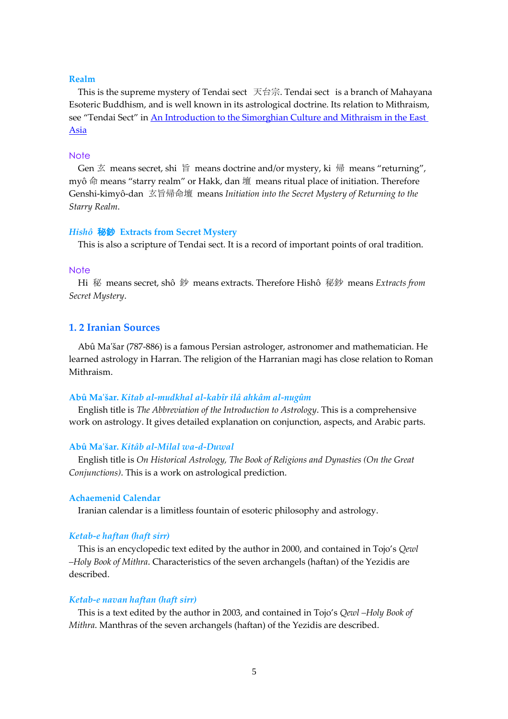#### **Realm**

This is the supreme mystery of Tendai sect 天台宗. Tendai sect is a branch of Mahayana Esoteric Buddhism, and is well known in its astrological doctrine. Its relation to Mithraism, see "Tendai Sect" in [An Introduction to the Simorghian Culture and Mithraism in the East](http://www.shamogoloparvane.net/An_Introduction_to_the_Simorghian_Culture_and_Mithraism_in_the_East_Asia_V2.pdf) [Asia](http://www.shamogoloparvane.net/An_Introduction_to_the_Simorghian_Culture_and_Mithraism_in_the_East_Asia_V2.pdf)

#### **Note**

Gen 玄 means secret, shi 旨 means doctrine and/or mystery, ki 帰 means "returning", myô 命 means "starry realm" or Hakk, dan 壇 means ritual place of initiation. Therefore Genshi-kimyô-dan 玄旨帰命壇 means *Initiation into the Secret Mystery of Returning to the Starry Realm*.

#### *Hishô* 秘鈔 **Extracts from Secret Mystery**

This is also a scripture of Tendai sect. It is a record of important points of oral tradition.

#### **Note**

Hi 秘 means secret, shô 鈔 means extracts. Therefore Hishô 秘鈔 means *Extracts from Secret Mystery*.

### **1. 2 Iranian Sources**

Abû Ma'šar (787-886) is a famous Persian astrologer, astronomer and mathematician. He learned astrology in Harran. The religion of the Harranian magi has close relation to Roman Mithraism.

#### **Abû Ma'šar.** *Kitab al-mudkhal al-kabîr ilâ ahkâm al-nugûm*

English title is *The Abbreviation of the Introduction to Astrology*. This is a comprehensive work on astrology. It gives detailed explanation on conjunction, aspects, and Arabic parts.

### **Abû Ma'šar.** *Kitâb al-Milal wa-d-Duwal*

English title is *On Historical Astrology, The Book of Religions and Dynasties (On the Great Conjunctions)*. This is a work on astrological prediction.

#### **Achaemenid Calendar**

Iranian calendar is a limitless fountain of esoteric philosophy and astrology.

#### *Ketab-e haftan (haft sirr)*

This is an encyclopedic text edited by the author in 2000, and contained in Tojo's *Qewl –Holy Book of Mithra*. Characteristics of the seven archangels (haftan) of the Yezidis are described.

#### *Ketab-e navan haftan (haft sirr)*

This is a text edited by the author in 2003, and contained in Tojo's *Qewl –Holy Book of Mithra*. Manthras of the seven archangels (haftan) of the Yezidis are described.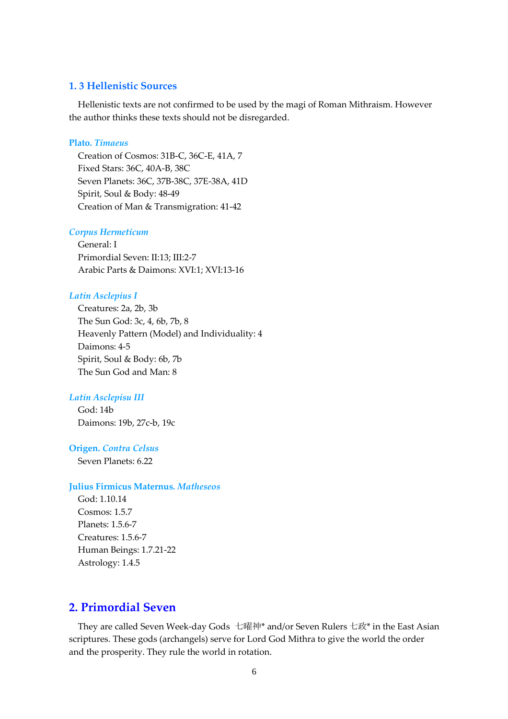## **1. 3 Hellenistic Sources**

Hellenistic texts are not confirmed to be used by the magi of Roman Mithraism. However the author thinks these texts should not be disregarded.

### **Plato.** *Timaeus*

Creation of Cosmos: 31B-C, 36C-E, 41A, 7 Fixed Stars: 36C, 40A-B, 38C Seven Planets: 36C, 37B-38C, 37E-38A, 41D Spirit, Soul & Body: 48-49 Creation of Man & Transmigration: 41-42

#### *Corpus Hermeticum*

General: I Primordial Seven: II:13; III:2-7 Arabic Parts & Daimons: XVI:1; XVI:13-16

## *Latin Asclepius I*

Creatures: 2a, 2b, 3b The Sun God: 3c, 4, 6b, 7b, 8 Heavenly Pattern (Model) and Individuality: 4 Daimons: 4-5 Spirit, Soul & Body: 6b, 7b The Sun God and Man: 8

## *Latin Asclepisu III*

God: 14b Daimons: 19b, 27c-b, 19c

#### **Origen.** *Contra Celsus*

Seven Planets: 6.22

#### **Julius Firmicus Maternus.** *Matheseos*

God: 1.10.14 Cosmos: 1.5.7 Planets: 1.5.6-7 Creatures: 1.5.6-7 Human Beings: 1.7.21-22 Astrology: 1.4.5

# **2. Primordial Seven**

They are called Seven Week-day Gods 七曜神\* and/or Seven Rulers 七政\* in the East Asian scriptures. These gods (archangels) serve for Lord God Mithra to give the world the order and the prosperity. They rule the world in rotation.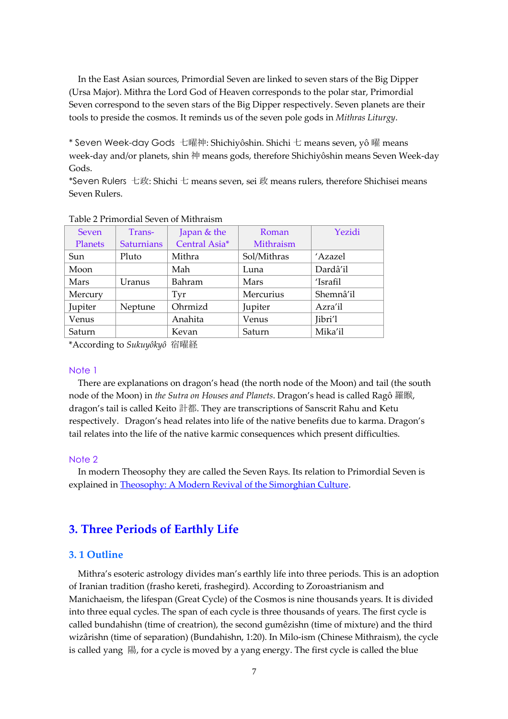In the East Asian sources, Primordial Seven are linked to seven stars of the Big Dipper (Ursa Major). Mithra the Lord God of Heaven corresponds to the polar star, Primordial Seven correspond to the seven stars of the Big Dipper respectively. Seven planets are their tools to preside the cosmos. It reminds us of the seven pole gods in *Mithras Liturgy*.

\* Seven Week-day Gods 七曜神: Shichiyôshin. Shichi 七 means seven, yô 曜 means week-day and/or planets, shin 神 means gods, therefore Shichiyôshin means Seven Week-day Gods.

\*Seven Rulers 七政: Shichi 七 means seven, sei 政 means rulers, therefore Shichisei means Seven Rulers.

| <b>Seven</b>   | Trans-            | Japan & the   | Roman       | Yezidi    |
|----------------|-------------------|---------------|-------------|-----------|
| <b>Planets</b> | <b>Saturnians</b> | Central Asia* | Mithraism   |           |
| Sun            | Pluto             | Mithra        | Sol/Mithras | 'Azazel   |
| Moon           |                   | Mah           | Luna        | Dardâ'il  |
| Mars           | Uranus            | Bahram        | Mars        | 'Israfil  |
| Mercury        |                   | Tyr           | Mercurius   | Shemnâ'il |
| Jupiter        | Neptune           | Ohrmizd       | Jupiter     | Azra'il   |
| Venus          |                   | Anahita       | Venus       | Jibri'l   |
| Saturn         |                   | Kevan         | Saturn      | Mika'il   |

#### Table 2 Primordial Seven of Mithraism

\*According to *Sukuyôkyô* 宿曜経

### Note 1

There are explanations on dragon's head (the north node of the Moon) and tail (the south node of the Moon) in *the Sutra on Houses and Planets*. Dragon's head is called Ragô 羅睺, dragon's tail is called Keito 計都. They are transcriptions of Sanscrit Rahu and Ketu respectively. Dragon's head relates into life of the native benefits due to karma. Dragon's tail relates into the life of the native karmic consequences which present difficulties.

#### Note 2

In modern Theosophy they are called the Seven Rays. Its relation to Primordial Seven is explained in [Theosophy: A Modern Revival of the Simorghian Culture](http://www.shamogoloparvane.net/Theosophy_A_Modern_Revival_of_the_Simorghian_Culture.pdf).

# **3. Three Periods of Earthly Life**

### **3. 1 Outline**

Mithra's esoteric astrology divides man's earthly life into three periods. This is an adoption of Iranian tradition (frasho kereti, frashegird). According to Zoroastrianism and Manichaeism, the lifespan (Great Cycle) of the Cosmos is nine thousands years. It is divided into three equal cycles. The span of each cycle is three thousands of years. The first cycle is called bundahishn (time of creatrion), the second gumêzishn (time of mixture) and the third wizârishn (time of separation) (Bundahishn, 1:20). In Milo-ism (Chinese Mithraism), the cycle is called yang 陽, for a cycle is moved by a yang energy. The first cycle is called the blue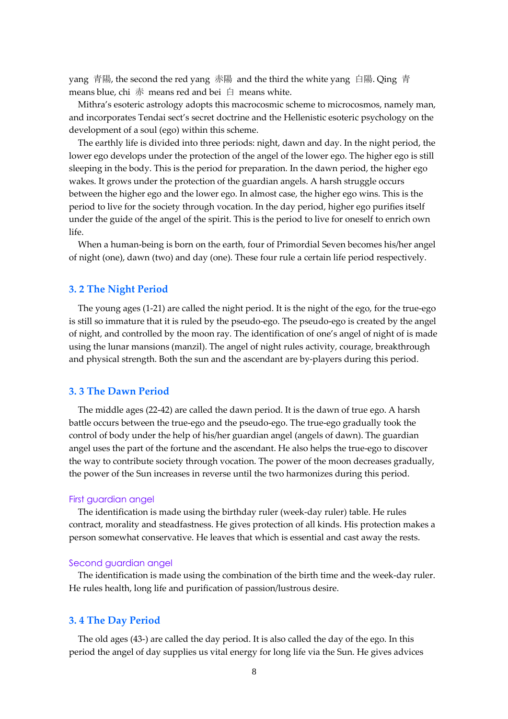yang 青陽, the second the red yang 赤陽 and the third the white yang 白陽. Qing 青 means blue, chi  $\#$  means red and bei  $\#$  means white.

Mithra's esoteric astrology adopts this macrocosmic scheme to microcosmos, namely man, and incorporates Tendai sect's secret doctrine and the Hellenistic esoteric psychology on the development of a soul (ego) within this scheme.

The earthly life is divided into three periods: night, dawn and day. In the night period, the lower ego develops under the protection of the angel of the lower ego. The higher ego is still sleeping in the body. This is the period for preparation. In the dawn period, the higher ego wakes. It grows under the protection of the guardian angels. A harsh struggle occurs between the higher ego and the lower ego. In almost case, the higher ego wins. This is the period to live for the society through vocation. In the day period, higher ego purifies itself under the guide of the angel of the spirit. This is the period to live for oneself to enrich own life.

When a human-being is born on the earth, four of Primordial Seven becomes his/her angel of night (one), dawn (two) and day (one). These four rule a certain life period respectively.

### **3. 2 The Night Period**

The young ages (1-21) are called the night period. It is the night of the ego, for the true-ego is still so immature that it is ruled by the pseudo-ego. The pseudo-ego is created by the angel of night, and controlled by the moon ray. The identification of one's angel of night of is made using the lunar mansions (manzil). The angel of night rules activity, courage, breakthrough and physical strength. Both the sun and the ascendant are by-players during this period.

### **3. 3 The Dawn Period**

The middle ages (22-42) are called the dawn period. It is the dawn of true ego. A harsh battle occurs between the true-ego and the pseudo-ego. The true-ego gradually took the control of body under the help of his/her guardian angel (angels of dawn). The guardian angel uses the part of the fortune and the ascendant. He also helps the true-ego to discover the way to contribute society through vocation. The power of the moon decreases gradually, the power of the Sun increases in reverse until the two harmonizes during this period.

#### First guardian angel

The identification is made using the birthday ruler (week-day ruler) table. He rules contract, morality and steadfastness. He gives protection of all kinds. His protection makes a person somewhat conservative. He leaves that which is essential and cast away the rests.

#### Second guardian angel

The identification is made using the combination of the birth time and the week-day ruler. He rules health, long life and purification of passion/lustrous desire.

#### **3. 4 The Day Period**

The old ages (43-) are called the day period. It is also called the day of the ego. In this period the angel of day supplies us vital energy for long life via the Sun. He gives advices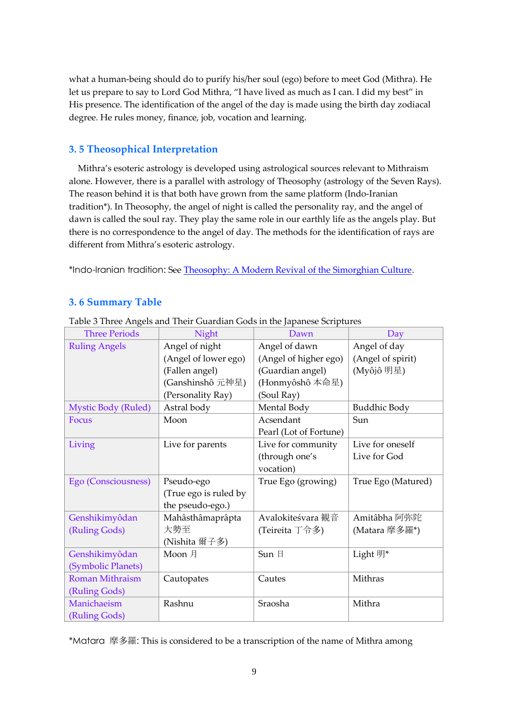what a human-being should do to purify his/her soul (ego) before to meet God (Mithra). He let us prepare to say to Lord God Mithra, "I have lived as much as I can. I did my best" in His presence. The identification of the angel of the day is made using the birth day zodiacal degree. He rules money, finance, job, vocation and learning.

# **3. 5 Theosophical Interpretation**

Mithra's esoteric astrology is developed using astrological sources relevant to Mithraism alone. However, there is a parallel with astrology of Theosophy (astrology of the Seven Rays). The reason behind it is that both have grown from the same platform (Indo-Iranian tradition\*). In Theosophy, the angel of night is called the personality ray, and the angel of dawn is called the soul ray. They play the same role in our earthly life as the angels play. But there is no correspondence to the angel of day. The methods for the identification of rays are different from Mithra's esoteric astrology.

\*Indo-Iranian tradition: See [Theosophy: A Modern Revival of the Simorghian Culture](http://www.shamogoloparvane.net/Theosophy_A_Modern_Revival_of_the_Simorghian_Culture.pdf).

# **3. 6 Summary Table**

| <b>Three Periods</b>       | Night                 | Dawn                   | Day                |
|----------------------------|-----------------------|------------------------|--------------------|
| <b>Ruling Angels</b>       | Angel of night        | Angel of dawn          | Angel of day       |
|                            | (Angel of lower ego)  | (Angel of higher ego)  | (Angel of spirit)  |
|                            | (Fallen angel)        | (Guardian angel)       | (Myôjô 明星)         |
|                            | (Ganshinshô 元神星)      | (Honmyôshô 本命星)        |                    |
|                            | (Personality Ray)     | (Soul Ray)             |                    |
| <b>Mystic Body (Ruled)</b> | Astral body           | Mental Body            | Buddhic Body       |
| Focus                      | Moon                  | Acsendant              | Sun                |
|                            |                       | Pearl (Lot of Fortune) |                    |
| Living                     | Live for parents      | Live for community     | Live for oneself   |
|                            |                       | (through one's         | Live for God       |
|                            |                       | vocation)              |                    |
| Ego (Consciousness)        | Pseudo-ego            | True Ego (growing)     | True Ego (Matured) |
|                            | (True ego is ruled by |                        |                    |
|                            | the pseudo-ego.)      |                        |                    |
| Genshikimyôdan             | Mahâsthâmaprâpta      | Avalokiteśvara 観音      | Amitâbha 阿弥陀       |
| (Ruling Gods)              | 大勢至                   | (Teireita 丁令多)         | (Matara 摩多羅*)      |
|                            | (Nishita 爾子多)         |                        |                    |
| Genshikimyôdan             | Moon 月                | Sun 日                  | Light 明*           |
| (Symbolic Planets)         |                       |                        |                    |
| <b>Roman Mithraism</b>     | Cautopates            | Cautes                 | Mithras            |
| (Ruling Gods)              |                       |                        |                    |
| Manichaeism                | Rashnu                | Sraosha                | Mithra             |
| (Ruling Gods)              |                       |                        |                    |

Table 3 Three Angels and Their Guardian Gods in the Japanese Scriptures

\*Matara 摩多羅: This is considered to be a transcription of the name of Mithra among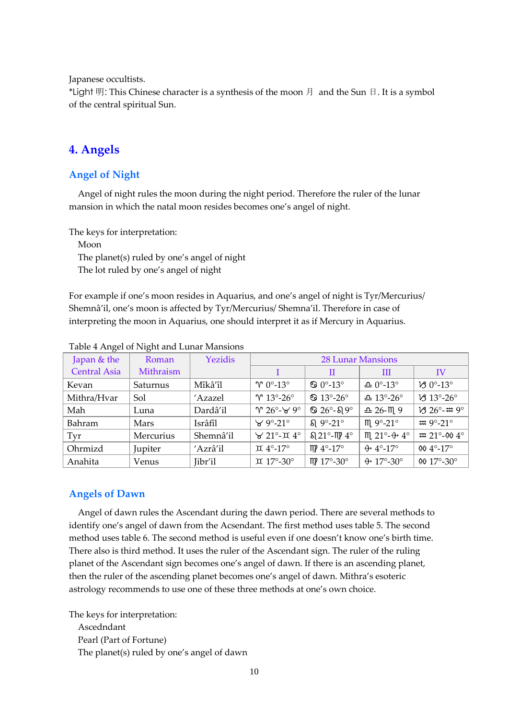Japanese occultists.

\*Light 明: This Chinese character is a synthesis of the moon 月 and the Sun 日. It is a symbol of the central spiritual Sun.

# **4. Angels**

## **Angel of Night**

Angel of night rules the moon during the night period. Therefore the ruler of the lunar mansion in which the natal moon resides becomes one's angel of night.

The keys for interpretation:

Moon The planet(s) ruled by one's angel of night The lot ruled by one's angel of night

For example if one's moon resides in Aquarius, and one's angel of night is Tyr/Mercurius/ Shemnâ'il, one's moon is affected by Tyr/Mercurius/ Shemna'il. Therefore in case of interpreting the moon in Aquarius, one should interpret it as if Mercury in Aquarius.

| $\epsilon$          | $\omega$  |           |                            |                             |                               |                                    |
|---------------------|-----------|-----------|----------------------------|-----------------------------|-------------------------------|------------------------------------|
| Japan & the         | Roman     | Yezidis   | <b>28 Lunar Mansions</b>   |                             |                               |                                    |
| <b>Central Asia</b> | Mithraism |           |                            | H                           | Ш                             | IV                                 |
| Kevan               | Saturnus  | Mîkâ′îl   | $\gamma$ 0°-13°            | $\odot$ 0°-13°              | $\triangle 0^{\circ}$ -13°    | $V30^\circ-13^\circ$               |
| Mithra/Hvar         | Sol       | 'Azazel   | $\gamma$ 13°-26°           | $\textcircled{3}$ 13°-26°   | $\triangle$ 13°-26°           | $\nu$ 3 13°-26°                    |
| Mah                 | Luna      | Dardâ'il  | $\gamma$ 26°- $\forall$ 9° | $\mathbf{\degree}$ 26°-819° | $\triangle$ 26- $m$ 9         | $1326^\circ - 339^\circ$           |
| Bahram              | Mars      | Isrâfîl   | $\forall$ 9°-21°           | $\Omega$ 9°-21°             | $m_{.}$ 9°-21°                | $\approx 9^{\circ} - 21^{\circ}$   |
| Tyr                 | Mercurius | Shemnâ'il | $\forall$ 21°- $\pi$ 4°    | $\Omega$ 21°-1174°          | $m$ 21°- $\leftrightarrow$ 4° | $\approx 21^{\circ} - 004^{\circ}$ |
| Ohrmizd             | Jupiter   | 'Azrâ'il  | $\text{II}$ 4°-17°         | $mp 4^{\circ} - 17^{\circ}$ | $\leftrightarrow$ 4°-17°      | 00 $4^{\circ}$ -17 $^{\circ}$      |
| Anahita             | Venus     | Jibr'il   | <b>II</b> 17°-30°          | $mp 17^\circ - 30^\circ$    | $\leftrightarrow$ 17°-30°     | 00 $17^{\circ} - 30^{\circ}$       |

Table 4 Angel of Night and Lunar Mansions

## **Angels of Dawn**

Angel of dawn rules the Ascendant during the dawn period. There are several methods to identify one's angel of dawn from the Acsendant. The first method uses table 5. The second method uses table 6. The second method is useful even if one doesn't know one's birth time. There also is third method. It uses the ruler of the Ascendant sign. The ruler of the ruling planet of the Ascendant sign becomes one's angel of dawn. If there is an ascending planet, then the ruler of the ascending planet becomes one's angel of dawn. Mithra's esoteric astrology recommends to use one of these three methods at one's own choice.

The keys for interpretation:

Ascedndant Pearl (Part of Fortune) The planet(s) ruled by one's angel of dawn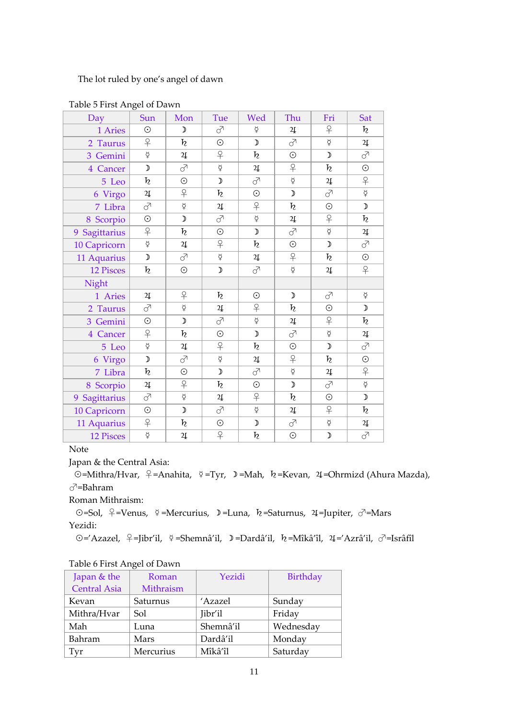The lot ruled by one's angel of dawn

| Day              | Sun                         | Mon                                                                                                            | Tue                         | Wed               | Thu                          | Fri               | Sat                                                                                                            |
|------------------|-----------------------------|----------------------------------------------------------------------------------------------------------------|-----------------------------|-------------------|------------------------------|-------------------|----------------------------------------------------------------------------------------------------------------|
| 1 Aries          | $\odot$                     | $\mathcal{D}% _{T}=\mathcal{D}_{T}\!\left( a,b\right) ,\ \mathcal{D}_{T}=\mathcal{D}_{T}\!\left( a,b\right) ,$ | ♂                           | $\breve{\varphi}$ | $\sqrt{4}$                   | $\overline{P}$    | $\boldsymbol{h}$                                                                                               |
| 2 Taurus         | $\overline{P}$              | $\boldsymbol{h}$                                                                                               | $\odot$                     | $\mathcal{D}$     | $\vec{\delta}$               | $\breve{\varphi}$ | $2\underline{\mathfrak{l}}$                                                                                    |
| 3 Gemini         | $\breve{\varphi}$           | $\sqrt{2}$                                                                                                     | $\overline{P}$              | $\boldsymbol{h}$  | $\odot$                      | $\mathcal{D}$     | $\vec{C}$                                                                                                      |
| 4 Cancer         | $\mathcal{D}$               | े                                                                                                              | $\breve{\varphi}$           | $\sqrt{2}$        | $\overline{P}$               | $\boldsymbol{h}$  | $\odot$                                                                                                        |
| 5 Leo            | $\boldsymbol{h}$            | $\odot$                                                                                                        | $\mathcal{D}$               | ♂                 | $\breve{\varphi}$            | $2\mathfrak{l}$   | $\overline{P}$                                                                                                 |
| 6 Virgo          | $\ensuremath{\mathfrak{A}}$ | $\overline{P}$                                                                                                 | $\boldsymbol{h}$            | $\odot$           | $\mathcal{D}$                | $\vec{\delta}$    | $\breve{\varphi}$                                                                                              |
| 7 Libra          | ♂                           | $\breve{\varphi}$                                                                                              | $\sqrt{2}$                  | $\overline{P}$    | $\boldsymbol{h}$             | $\odot$           | $\mathcal{Y}$                                                                                                  |
| 8 Scorpio        | $\odot$                     | $\mathcal{D}$                                                                                                  | े                           | $\breve{\varphi}$ | $2\hspace{-1.5pt}1$          | $\overline{P}$    | $\boldsymbol{h}$                                                                                               |
| 9 Sagittarius    | $\overline{P}$              | $\boldsymbol{h}$                                                                                               | $\odot$                     | $\mathcal{D}$     | े                            | $\breve{\varphi}$ | $\ensuremath{\mathsf{2}\mathrm{I}}$                                                                            |
| 10 Capricorn     | $\breve{\varphi}$           | $\sqrt{2}$                                                                                                     | $\overline{P}$              | $\boldsymbol{h}$  | $\odot$                      | $\mathcal{D}$     | $\vec{C}$                                                                                                      |
| 11 Aquarius      | $\mathcal{D}$               | ♂                                                                                                              | $\breve{\varphi}$           | 2                 | $\varphi$                    | $\boldsymbol{h}$  | $\odot$                                                                                                        |
| <b>12 Pisces</b> | $\boldsymbol{h}$            | $\odot$                                                                                                        | $\mathcal{D}$               | ♂                 | $\breve{\varphi}$            | $2\mathfrak{l}$   | $\varphi$                                                                                                      |
| Night            |                             |                                                                                                                |                             |                   |                              |                   |                                                                                                                |
| 1 Aries          | 4                           | $\overline{P}$                                                                                                 | $\boldsymbol{h}$            | $\odot$           | $\mathcal{D}$                | ♂                 | $\breve{\varphi}$                                                                                              |
| 2 Taurus         | ♂                           | $\breve{\varphi}$                                                                                              | $2\underline{\mathfrak{l}}$ | $\overline{P}$    | $\boldsymbol{h}$             | $\odot$           | $\mathcal{D}% _{T}=\mathcal{D}_{T}\!\left( a,b\right) ,\ \mathcal{D}_{T}=\mathcal{D}_{T}\!\left( a,b\right) ,$ |
| 3 Gemini         | $\odot$                     | $\mathcal{D}$                                                                                                  | ♂                           | $\breve{\varphi}$ | $2\mathsf{I}$                | $\overline{P}$    | $\boldsymbol{h}$                                                                                               |
| 4 Cancer         | $\overline{P}$              | $\boldsymbol{h}$                                                                                               | $\odot$                     | $\mathcal{D}$     | े                            | $\breve{\varphi}$ | $\mathfrak 2$                                                                                                  |
| 5 Leo            | $\breve{\varphi}$           | $\ensuremath{\mathsf{2}\mathrm{I}}$                                                                            | $\overline{P}$              | $\boldsymbol{h}$  | $\odot$                      | $\mathcal{D}$     | $\vec{\delta}$                                                                                                 |
| 6 Virgo          | $\mathcal{D}$               | े                                                                                                              | $\breve{\varphi}$           | $\sqrt{2}$        | $\overline{P}$               | $\boldsymbol{h}$  | $\odot$                                                                                                        |
| 7 Libra          | $\boldsymbol{h}$            | $\odot$                                                                                                        | $\mathcal{D}$               | $\vec{C}$         | $\overline{\check{\varphi}}$ | $2\mathsf{I}$     | $\overline{P}$                                                                                                 |
| 8 Scorpio        | $2\underline{\mathfrak{l}}$ | $\overline{P}$                                                                                                 | $\boldsymbol{h}$            | $\odot$           | $\mathcal{D}$                | ♂                 | $\breve{\varphi}$                                                                                              |
| 9 Sagittarius    | ♂                           | $\breve{\varphi}$                                                                                              | $\overline{4}$              | $\overline{P}$    | $\boldsymbol{h}$             | $\odot$           | $\mathcal{D}$                                                                                                  |
| 10 Capricorn     | $\odot$                     | $\mathcal{D}$                                                                                                  | ♂                           | $\breve{\varphi}$ | $2\mathfrak{l}$              | $\varphi$         | $\boldsymbol{h}$                                                                                               |
| 11 Aquarius      | $\overline{P}$              | $\boldsymbol{h}$                                                                                               | $\odot$                     | $\mathcal{D}$     | ♂                            | $\breve{\varphi}$ | $\ensuremath{\mathfrak{A}}$                                                                                    |
| <b>12 Pisces</b> | $\breve{\varphi}$           | $\overline{2}$                                                                                                 | $\overline{P}$              | $\boldsymbol{h}$  | $\odot$                      | $\mathcal{D}$     | $\overline{c}$                                                                                                 |

Table 5 First Angel of Dawn

# Note

Japan & the Central Asia:

☉=Mithra/Hvar, ♀=Anahita, ☿=Tyr, ☽=Mah, ♄=Kevan, ♃=Ohrmizd (Ahura Mazda), ♂=Bahram

Roman Mithraism:

☉=Sol, ♀=Venus, ☿=Mercurius, ☽=Luna, ♄=Saturnus, ♃=Jupiter, ♂=Mars Yezidi:

☉='Azazel, ♀=Jibr'il, ☿=Shemnâ'il, ☽=Dardâ'il, ♄=Mîkâ'îl, ♃='Azrâ'il, ♂=Isrâfîl

| Japan & the         | Roman     | Yezidi    | <b>Birthday</b> |
|---------------------|-----------|-----------|-----------------|
| <b>Central Asia</b> | Mithraism |           |                 |
| Kevan               | Saturnus  | 'Azazel   | Sunday          |
| Mithra/Hvar         | Sol       | Jibr'il   | Friday          |
| Mah                 | Luna      | Shemnâ'il | Wednesday       |
| Bahram              | Mars      | Dardâ'il  | Monday          |
| Tyr                 | Mercurius | Mîkâ'îl   | Saturday        |

## Table 6 First Angel of Dawn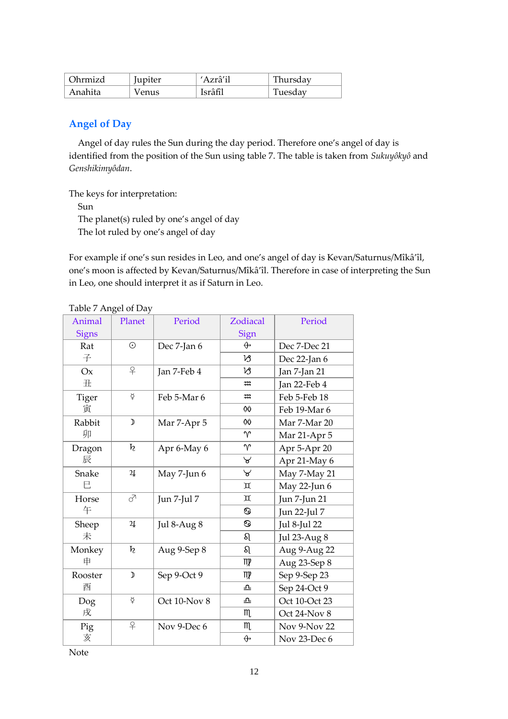| )hrmizd | <i>upiter</i> | Azrâ'il | Thursday |
|---------|---------------|---------|----------|
| Anahita | Venus         | Isrâfîl | Tuesday  |

# **Angel of Day**

Angel of day rules the Sun during the day period. Therefore one's angel of day is identified from the position of the Sun using table 7. The table is taken from *Sukuyôkyô* and *Genshikimyôdan*.

The keys for interpretation:

Sun

The planet(s) ruled by one's angel of day

The lot ruled by one's angel of day

For example if one's sun resides in Leo, and one's angel of day is Kevan/Saturnus/Mîkâ'îl, one's moon is affected by Kevan/Saturnus/Mîkâ'îl. Therefore in case of interpreting the Sun in Leo, one should interpret it as if Saturn in Leo.

| Animal       | Planet            | Period       | Zodiacal                    | Period        |
|--------------|-------------------|--------------|-----------------------------|---------------|
| <b>Signs</b> |                   |              | Sign                        |               |
| Rat          | $\odot$           | Dec 7-Jan 6  | $\bigoplus$                 | Dec 7-Dec 21  |
| 子            |                   |              | Ŋ                           | Dec 22-Jan 6  |
| Ox           | $\overline{P}$    | Jan 7-Feb 4  | VS                          | Jan 7-Jan 21  |
| 丑            |                   |              | $\boldsymbol{\mathfrak{m}}$ | Jan 22-Feb 4  |
| <b>Tiger</b> | $\breve{\varphi}$ | Feb 5-Mar 6  | $\ddot{x}$                  | Feb 5-Feb 18  |
| 寅            |                   |              | 00                          | Feb 19-Mar 6  |
| Rabbit       | $\mathcal{D}$     | Mar 7-Apr 5  | 00                          | Mar 7-Mar 20  |
| 卯            |                   |              | $\gamma$                    | Mar 21-Apr 5  |
| Dragon       | $\boldsymbol{h}$  | Apr 6-May 6  | $\gamma$                    | Apr 5-Apr 20  |
| 辰            |                   |              | $\forall$                   | Apr 21-May 6  |
| Snake        | 4                 | May 7-Jun 6  | $\forall$                   | May 7-May 21  |
| E            |                   |              | Д                           | May 22-Jun 6  |
| Horse        | ♂                 | Jun 7-Jul 7  | Д                           | Jun 7-Jun 21  |
| 午            |                   |              | ි                           | Jun 22-Jul 7  |
| Sheep        | 4                 | Jul 8-Aug 8  | ි                           | Jul 8-Jul 22  |
| 未            |                   |              | ର                           | Jul 23-Aug 8  |
| Monkey       | $\boldsymbol{h}$  | Aug 9-Sep 8  | ର                           | Aug 9-Aug 22  |
| 申            |                   |              | m                           | Aug 23-Sep 8  |
| Rooster      | $\mathcal{D}$     | Sep 9-Oct 9  | m                           | Sep 9-Sep 23  |
| 酉            |                   |              | ᅀ                           | Sep 24-Oct 9  |
| Dog          | ₫                 | Oct 10-Nov 8 | ᅀ                           | Oct 10-Oct 23 |
| 戌            |                   |              | m                           | Oct 24-Nov 8  |
| Pig          | $\overline{P}$    | Nov 9-Dec 6  | $m_{\iota}$                 | Nov 9-Nov 22  |
| 亥            |                   |              | $\bigoplus$                 | Nov 23-Dec 6  |

Table 7 Angel of Day

Note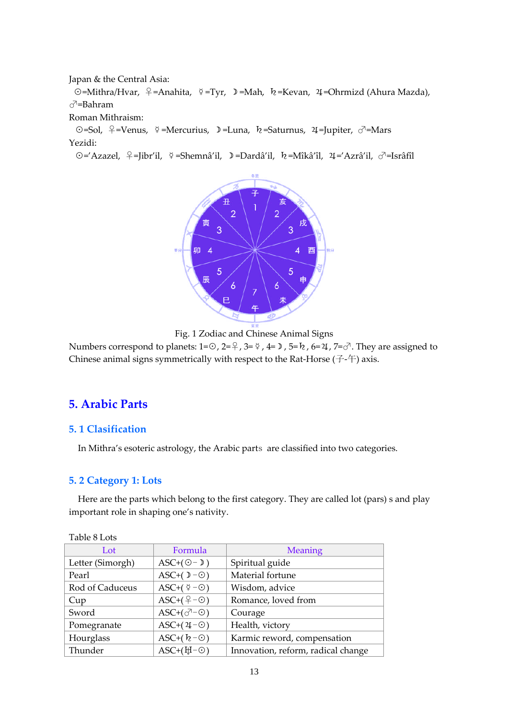Japan & the Central Asia:

☉=Mithra/Hvar, ♀=Anahita, ☿=Tyr, ☽=Mah, ♄=Kevan, ♃=Ohrmizd (Ahura Mazda), ♂=Bahram

Roman Mithraism:

☉=Sol, ♀=Venus, ☿=Mercurius, ☽=Luna, ♄=Saturnus, ♃=Jupiter, ♂=Mars Yezidi:

☉='Azazel, ♀=Jibr'il, ☿=Shemnâ'il, ☽=Dardâ'il, ♄=Mîkâ'îl, ♃='Azrâ'il, ♂=Isrâfîl





Numbers correspond to planets:  $1=③$ ,  $2=④$ ,  $3=②$ ,  $4=③$ ,  $5=$   $\hbar$ ,  $6=$   $4$ ,  $7=$   $\heartsuit$ . They are assigned to Chinese animal signs symmetrically with respect to the Rat-Horse  $(7-\ddot{+})$  axis.

# **5. Arabic Parts**

## **5. 1 Clasification**

In Mithra's esoteric astrology, the Arabic parts are classified into two categories.

## **5. 2 Category 1: Lots**

Here are the parts which belong to the first category. They are called lot (pars) s and play important role in shaping one's nativity.

| Lot              | Formula                             | <b>Meaning</b>                     |
|------------------|-------------------------------------|------------------------------------|
| Letter (Simorgh) | $\text{ASC} + (\odot - \mathbb{D})$ | Spiritual guide                    |
| Pearl            | ASC+ $( \mathbb{D} - \odot )$       | Material fortune                   |
| Rod of Caduceus  | ASC+ $(\frac{6}{7}-\odot)$          | Wisdom, advice                     |
| Cup              | $ASC+(9-©)$                         | Romance, loved from                |
| Sword            | $ASC+(o^{\overline{\wedge}-\odot})$ | Courage                            |
| Pomegranate      | $\text{ASC}+(2\text{I}-\odot)$      | Health, victory                    |
| Hourglass        | ASC+ $(k-\odot)$                    | Karmic reword, compensation        |
| Thunder          | $\text{ASC}+( \frac{H}{H}-\odot )$  | Innovation, reform, radical change |

Table 8 Lots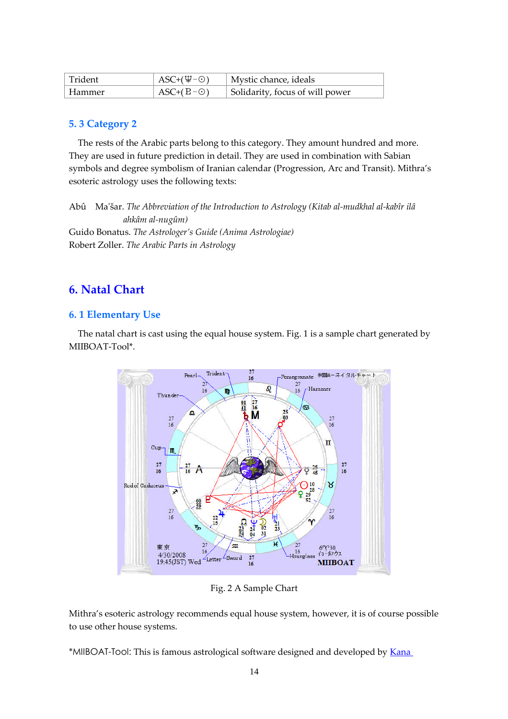| Trident | $\text{ASC}+(\Psi-\odot)$ | Mystic chance, ideals           |
|---------|---------------------------|---------------------------------|
| Hammer  | $\text{ASC}+(B-\odot)$    | Solidarity, focus of will power |

## **5. 3 Category 2**

The rests of the Arabic parts belong to this category. They amount hundred and more. They are used in future prediction in detail. They are used in combination with Sabian symbols and degree symbolism of Iranian calendar (Progression, Arc and Transit). Mithra's esoteric astrology uses the following texts:

Abû Ma'šar. *The Abbreviation of the Introduction to Astrology (Kitab al-mudkhal al-kabîr ilâ ahkâm al-nugûm)* Guido Bonatus. *The Astrologer's Guide (Anima Astrologiae)* Robert Zoller. *The Arabic Parts in Astrology*

# **6. Natal Chart**

### **6. 1 Elementary Use**

The natal chart is cast using the equal house system. Fig. 1 is a sample chart generated by MIIBOAT-Tool\*.



Fig. 2 A Sample Chart

Mithra's esoteric astrology recommends equal house system, however, it is of course possible to use other house systems.

\*MIIBOAT-Tool: [This is famous astrological software designed and developed by](http://homepage2.nifty.com/Mithra/Kana_Okaniwa_Profile.pdf) Kana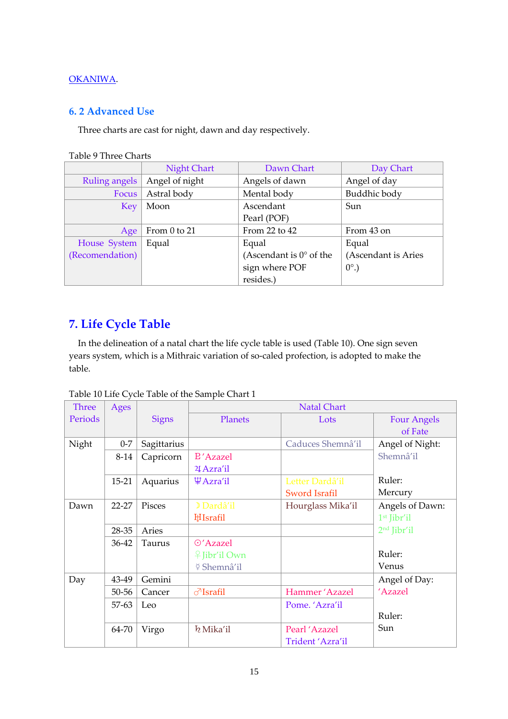## OKANIWA.

## **6. 2 Advanced Use**

Three charts are cast for night, dawn and day respectively.

| <b>Table 9 Three Charts</b> |
|-----------------------------|
|-----------------------------|

|                 | <b>Night Chart</b> | Dawn Chart                       | Day Chart           |
|-----------------|--------------------|----------------------------------|---------------------|
| Ruling angels   | Angel of night     | Angels of dawn                   | Angel of day        |
| Focus           | Astral body        | Mental body                      | Buddhic body        |
| Key             | Moon               | Ascendant                        | Sun                 |
|                 |                    | Pearl (POF)                      |                     |
| Age             | From 0 to 21       | From 22 to $42$                  | From 43 on          |
| House System    | Equal              | Equal                            | Equal               |
| (Recomendation) |                    | (Ascendant is $0^{\circ}$ of the | (Ascendant is Aries |
|                 |                    | sign where POF                   | $0^\circ$ .)        |
|                 |                    | resides.)                        |                     |

# **7. Life Cycle Table**

In the delineation of a natal chart the life cycle table is used (Table 10). One sign seven years system, which is a Mithraic variation of so-caled profection, is adopted to make the table.

|  |  |  | Table 10 Life Cycle Table of the Sample Chart 1 |
|--|--|--|-------------------------------------------------|
|  |  |  |                                                 |

| <b>Three</b> | Ages      |               |                           | <b>Natal Chart</b>   |                         |
|--------------|-----------|---------------|---------------------------|----------------------|-------------------------|
| Periods      |           | <b>Signs</b>  | Planets                   | Lots                 | <b>Four Angels</b>      |
|              |           |               |                           |                      | of Fate                 |
| Night        | $0 - 7$   | Sagittarius   |                           | Caduces Shemnâ'il    | Angel of Night:         |
|              | 8-14      | Capricorn     | <b>E'Azazel</b>           |                      | Shemnâ'il               |
|              |           |               | 24 Azra'il                |                      |                         |
|              | $15 - 21$ | Aquarius      | $\Psi$ Azra'il            | Letter Dardâ'il      | Ruler:                  |
|              |           |               |                           | <b>Sword Israfil</b> | Mercury                 |
| Dawn         | $22 - 27$ | <b>Pisces</b> | <sup>D</sup> Dardâ'il     | Hourglass Mika'il    | Angels of Dawn:         |
|              |           |               | <b>H</b> Israfil          |                      | 1 <sup>st</sup> Jibr'il |
|              | 28-35     | Aries         |                           |                      | 2 <sup>nd</sup> Jibr'il |
|              | 36-42     | <b>Taurus</b> | ⊙'Azazel                  |                      |                         |
|              |           |               | $\frac{1}{2}$ Jibr'il Own |                      | Ruler:                  |
|              |           |               | ⊈ Shemnâ'il               |                      | Venus                   |
| Day          | 43-49     | Gemini        |                           |                      | Angel of Day:           |
|              | 50-56     | Cancer        | $\sqrt{3}$ Israfil        | Hammer 'Azazel       | 'Azazel                 |
|              | 57-63     | Leo           |                           | Pome. 'Azra'il       |                         |
|              |           |               |                           |                      | Ruler:                  |
|              | 64-70     | Virgo         | k Mika'il                 | Pearl 'Azazel        | Sun                     |
|              |           |               |                           | Trident 'Azra'il     |                         |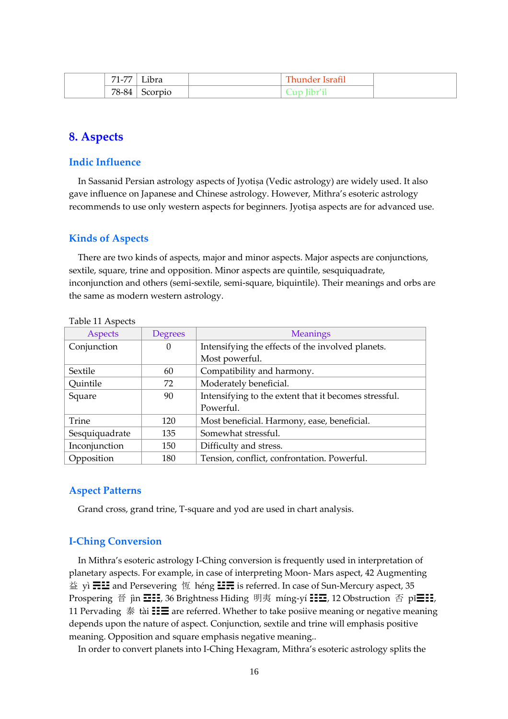| 71.77<br>$1 - \ell$ | Libra   | <b>TIME</b><br>- hunder '<br><b>Israfil</b> |  |
|---------------------|---------|---------------------------------------------|--|
| $78-84$             | Scorpio | [ibr'i]<br>ำบา                              |  |

# **8. Aspects**

### **Indic Influence**

In Sassanid Persian astrology aspects of Jyotiṣa (Vedic astrology) are widely used. It also gave influence on Japanese and Chinese astrology. However, Mithra's esoteric astrology recommends to use only western aspects for beginners. Jyotiṣa aspects are for advanced use.

#### **Kinds of Aspects**

There are two kinds of aspects, major and minor aspects. Major aspects are conjunctions, sextile, square, trine and opposition. Minor aspects are quintile, sesquiquadrate, inconjunction and others (semi-sextile, semi-square, biquintile). Their meanings and orbs are the same as modern western astrology.

| Aspects        | <b>Degrees</b> | <b>Meanings</b>                                       |  |
|----------------|----------------|-------------------------------------------------------|--|
| Conjunction    | $\Omega$       | Intensifying the effects of the involved planets.     |  |
|                |                | Most powerful.                                        |  |
| Sextile        | 60             | Compatibility and harmony.                            |  |
| Quintile       | 72             | Moderately beneficial.                                |  |
| Square         | 90             | Intensifying to the extent that it becomes stressful. |  |
|                |                | Powerful.                                             |  |
| <b>Trine</b>   | 120            | Most beneficial. Harmony, ease, beneficial.           |  |
| Sesquiquadrate | 135            | Somewhat stressful.                                   |  |
| Inconjunction  | 150            | Difficulty and stress.                                |  |
| Opposition     | 180            | Tension, conflict, confrontation. Powerful.           |  |

#### Table 11 Aspects

#### **Aspect Patterns**

Grand cross, grand trine, T-square and yod are used in chart analysis.

## **I-Ching Conversion**

In Mithra's esoteric astrology I-Ching conversion is frequently used in interpretation of planetary aspects. For example, in case of interpreting Moon- Mars aspect, 42 Augmenting 益 yì  $\Xi\Xi$  and Persevering 恆 héng  $\Xi\Xi$  is referred. In case of Sun-Mercury aspect, 35 Prospering 晉 jìn **☲☷**, 36 Brightness Hiding 明夷 míng-yí **☷☲**, 12 Obstruction 否 pǐ**☰☷**, 11 Pervading 泰 tài  $\mathbf{H} \equiv \mathbf{I}$  are referred. Whether to take posiive meaning or negative meaning depends upon the nature of aspect. Conjunction, sextile and trine will emphasis positive meaning. Opposition and square emphasis negative meaning..

In order to convert planets into I-Ching Hexagram, Mithra's esoteric astrology splits the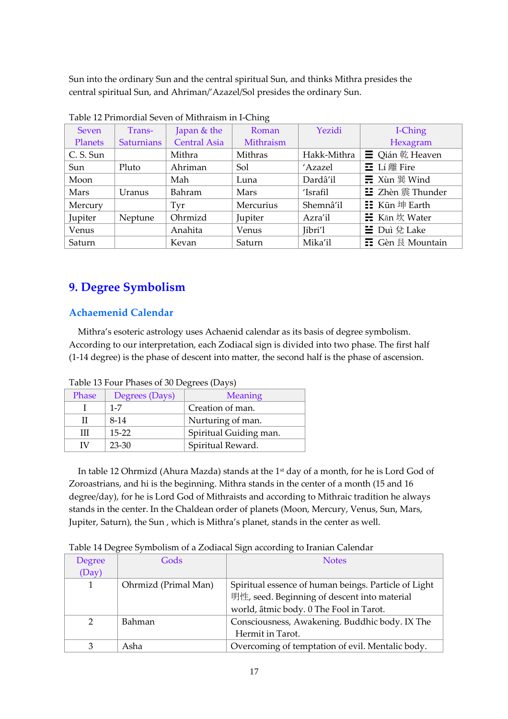Sun into the ordinary Sun and the central spiritual Sun, and thinks Mithra presides the central spiritual Sun, and Ahriman/'Azazel/Sol presides the ordinary Sun.

| Tubic 12 I Hillorum beven of minimum in Fernig |                   |                     |           |             |                                             |
|------------------------------------------------|-------------------|---------------------|-----------|-------------|---------------------------------------------|
| Seven                                          | Trans-            | Japan & the         | Roman     | Yezidi      | I-Ching                                     |
| Planets                                        | <b>Saturnians</b> | <b>Central Asia</b> | Mithraism |             | Hexagram                                    |
| C. S. Sun                                      |                   | Mithra              | Mithras   | Hakk-Mithra | $\equiv$ Qián $E$ Heaven                    |
| Sun                                            | Pluto             | Ahriman             | Sol       | 'Azazel     | $\Xi$ Lí 離 Fire                             |
| Moon                                           |                   | Mah                 | Luna      | Dardâ'il    | $\Xi$ Xùn 巽 Wind                            |
| Mars                                           | Uranus            | Bahram              | Mars      | 'Israfil    | <b>三</b> Zhèn 震 Thunder                     |
| Mercury                                        |                   | Tyr                 | Mercurius | Shemnâ'il   | $\equiv$ Kūn $#$ Earth                      |
| Jupiter                                        | Neptune           | Ohrmizd             | Jupiter   | Azra'il     | <b><math>\frac{1}{2}</math></b> Kan 坎 Water |
| Venus                                          |                   | Anahita             | Venus     | Jibri'l     | $\equiv$ Duì $\oplus$ Lake                  |
| Saturn                                         |                   | Kevan               | Saturn    | Mika'il     | <b><math>\Xi</math></b> Gèn 艮 Mountain      |

Table 12 Primordial Seven of Mithraism in I-Ching

# **9. Degree Symbolism**

# **Achaemenid Calendar**

Mithra's esoteric astrology uses Achaenid calendar as its basis of degree symbolism. According to our interpretation, each Zodiacal sign is divided into two phase. The first half (1-14 degree) is the phase of descent into matter, the second half is the phase of ascension.

| Phase | Degrees (Days) | <b>Meaning</b>         |  |
|-------|----------------|------------------------|--|
|       | $1 - 7$        | Creation of man.       |  |
|       | $8-14$         | Nurturing of man.      |  |
| Ш     | $15-22$        | Spiritual Guiding man. |  |
| ΙV    | $23 - 30$      | Spiritual Reward.      |  |

Table 13 Four Phases of 30 Degrees (Days)

In table 12 Ohrmizd (Ahura Mazda) stands at the 1<sup>st</sup> day of a month, for he is Lord God of Zoroastrians, and hi is the beginning. Mithra stands in the center of a month (15 and 16 degree/day), for he is Lord God of Mithraists and according to Mithraic tradition he always stands in the center. In the Chaldean order of planets (Moon, Mercury, Venus, Sun, Mars, Jupiter, Saturn), the Sun , which is Mithra's planet, stands in the center as well.

Table 14 Degree Symbolism of a Zodiacal Sign according to Iranian Calendar

| Degree        | Gods                 | <b>Notes</b>                                                                                         |
|---------------|----------------------|------------------------------------------------------------------------------------------------------|
| (Day)         |                      |                                                                                                      |
| 1             | Ohrmizd (Primal Man) | Spiritual essence of human beings. Particle of Light<br>明性, seed. Beginning of descent into material |
|               |                      | world, âtmic body. 0 The Fool in Tarot.                                                              |
| $\mathcal{P}$ | Bahman               | Consciousness, Awakening. Buddhic body. IX The                                                       |
|               |                      | Hermit in Tarot.                                                                                     |
|               | Asha                 | Overcoming of temptation of evil. Mentalic body.                                                     |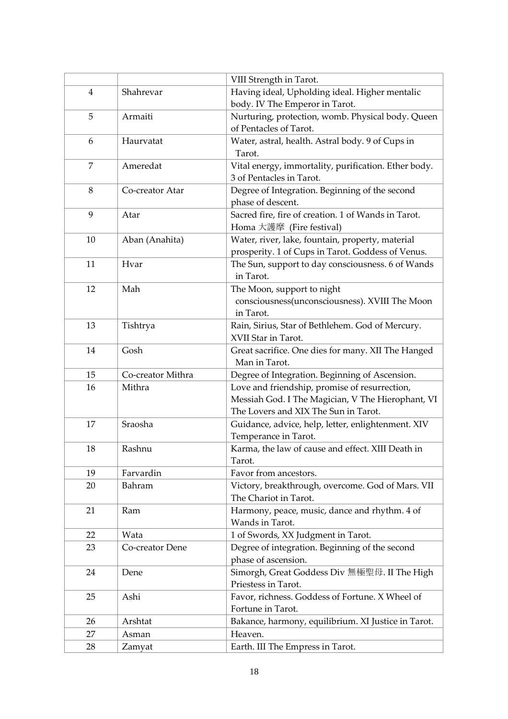|                |                   | VIII Strength in Tarot.                                             |
|----------------|-------------------|---------------------------------------------------------------------|
| $\overline{4}$ | Shahrevar         | Having ideal, Upholding ideal. Higher mentalic                      |
|                |                   | body. IV The Emperor in Tarot.                                      |
| 5              | Armaiti           | Nurturing, protection, womb. Physical body. Queen                   |
|                |                   | of Pentacles of Tarot.                                              |
| 6              | Haurvatat         | Water, astral, health. Astral body. 9 of Cups in                    |
|                |                   | Tarot.                                                              |
| 7              | Ameredat          | Vital energy, immortality, purification. Ether body.                |
|                |                   | 3 of Pentacles in Tarot.                                            |
| 8              | Co-creator Atar   | Degree of Integration. Beginning of the second                      |
|                |                   | phase of descent.                                                   |
| 9              | Atar              | Sacred fire, fire of creation. 1 of Wands in Tarot.                 |
|                |                   | Homa 大護摩 (Fire festival)                                            |
| 10             | Aban (Anahita)    | Water, river, lake, fountain, property, material                    |
|                |                   | prosperity. 1 of Cups in Tarot. Goddess of Venus.                   |
| 11             | Hvar              | The Sun, support to day consciousness. 6 of Wands                   |
|                |                   | in Tarot.                                                           |
| 12             | Mah               | The Moon, support to night                                          |
|                |                   | consciousness(unconsciousness). XVIII The Moon                      |
|                |                   | in Tarot.                                                           |
| 13             | Tishtrya          | Rain, Sirius, Star of Bethlehem. God of Mercury.                    |
|                |                   | XVII Star in Tarot.                                                 |
| 14             | Gosh              | Great sacrifice. One dies for many. XII The Hanged<br>Man in Tarot. |
| 15             | Co-creator Mithra | Degree of Integration. Beginning of Ascension.                      |
| 16             | Mithra            | Love and friendship, promise of resurrection,                       |
|                |                   | Messiah God. I The Magician, V The Hierophant, VI                   |
|                |                   | The Lovers and XIX The Sun in Tarot.                                |
| 17             | Sraosha           | Guidance, advice, help, letter, enlightenment. XIV                  |
|                |                   | Temperance in Tarot.                                                |
| 18             | Rashnu            | Karma, the law of cause and effect. XIII Death in                   |
|                |                   | Tarot.                                                              |
| 19             | Farvardin         | Favor from ancestors.                                               |
| 20             | Bahram            | Victory, breakthrough, overcome. God of Mars. VII                   |
|                |                   | The Chariot in Tarot.                                               |
| 21             | Ram               | Harmony, peace, music, dance and rhythm. 4 of                       |
|                |                   | Wands in Tarot.                                                     |
| 22             | Wata              | 1 of Swords, XX Judgment in Tarot.                                  |
| 23             | Co-creator Dene   | Degree of integration. Beginning of the second                      |
|                |                   | phase of ascension.                                                 |
| 24             | Dene              | Simorgh, Great Goddess Div 無極聖母. II The High                        |
|                |                   | Priestess in Tarot.                                                 |
| 25             | Ashi              | Favor, richness. Goddess of Fortune. X Wheel of                     |
|                |                   | Fortune in Tarot.                                                   |
| 26             | Arshtat           | Bakance, harmony, equilibrium. XI Justice in Tarot.                 |
| 27             | Asman             | Heaven.                                                             |
| 28             | Zamyat            | Earth. III The Empress in Tarot.                                    |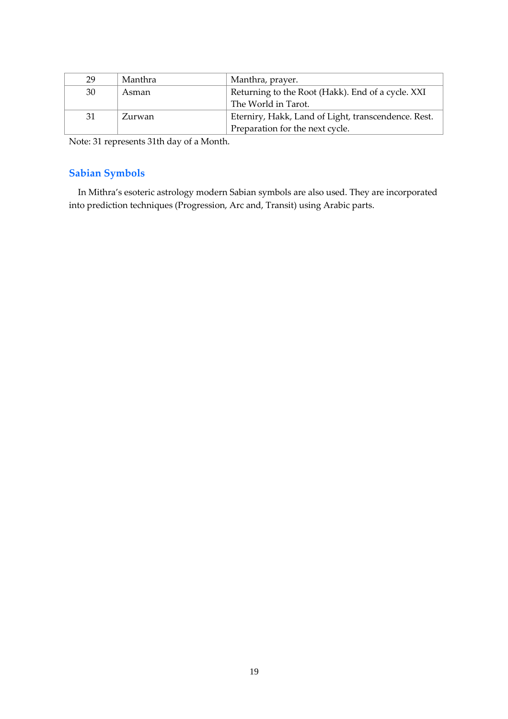| 29 | Manthra | Manthra, prayer.                                    |
|----|---------|-----------------------------------------------------|
| 30 | Asman   | Returning to the Root (Hakk). End of a cycle. XXI   |
|    |         | The World in Tarot.                                 |
| 31 | Zurwan  | Eterniry, Hakk, Land of Light, transcendence. Rest. |
|    |         | Preparation for the next cycle.                     |

Note: 31 represents 31th day of a Month.

# **Sabian Symbols**

In Mithra's esoteric astrology modern Sabian symbols are also used. They are incorporated into prediction techniques (Progression, Arc and, Transit) using Arabic parts.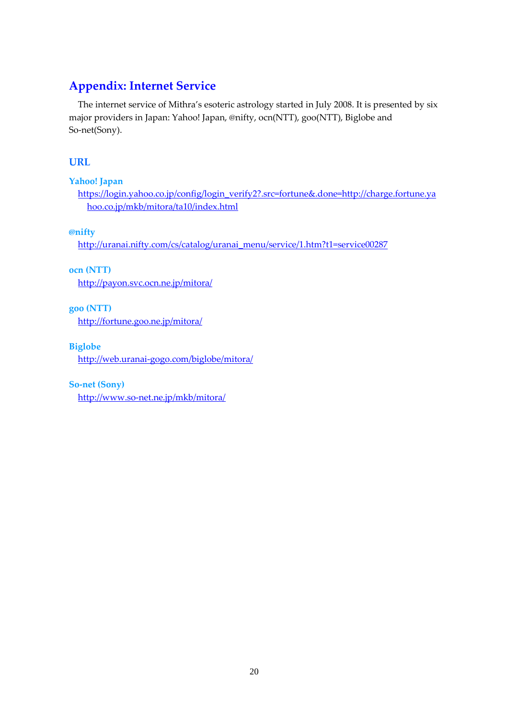# **Appendix: Internet Service**

The internet service of Mithra's esoteric astrology started in July 2008. It is presented by six major providers in Japan: Yahoo! Japan, @nifty, ocn(NTT), goo(NTT), Biglobe and So-net(Sony).

# **URL**

**Yahoo! Japan**

[https://login.yahoo.co.jp/config/login\\_verify2?.src=fortune&.done=http://charge.fortune.ya](https://login.yahoo.co.jp/config/login_verify2?.src=fortune&.done=http://charge.fortune.yahoo.co.jp/mkb/mitora/ta10/index.html) [hoo.co.jp/mkb/mitora/ta10/index.html](https://login.yahoo.co.jp/config/login_verify2?.src=fortune&.done=http://charge.fortune.yahoo.co.jp/mkb/mitora/ta10/index.html)

**@nifty**

[http://uranai.nifty.com/cs/catalog/uranai\\_menu/service/1.htm?t1=service00287](http://uranai.nifty.com/cs/catalog/uranai_menu/service/1.htm?t1=service00287)

**ocn (NTT)**

<http://payon.svc.ocn.ne.jp/mitora/>

**goo (NTT)**

<http://fortune.goo.ne.jp/mitora/>

**Biglobe**

<http://web.uranai-gogo.com/biglobe/mitora/>

**So-net (Sony)**

<http://www.so-net.ne.jp/mkb/mitora/>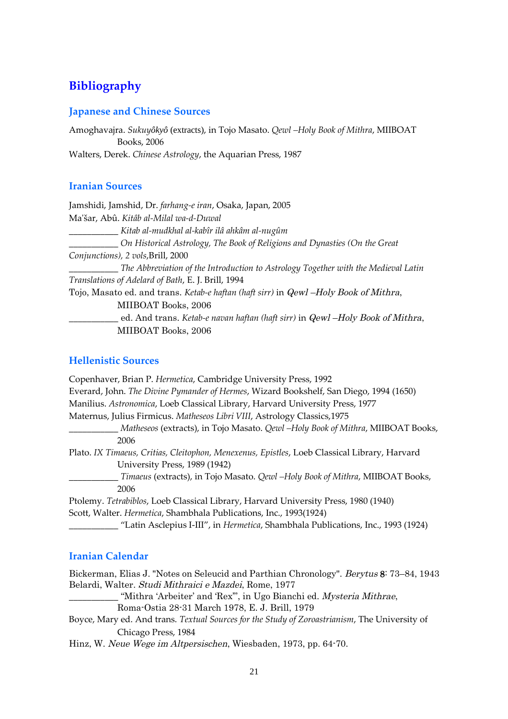# **Bibliography**

## **Japanese and Chinese Sources**

Amoghavajra. *Sukuyôkyô* (extracts), in Tojo Masato. *Qewl –Holy Book of Mithra*, MIIBOAT Books, 2006 Walters, Derek. *Chinese Astrology*, the Aquarian Press, 1987

## **Iranian Sources**

Jamshidi, Jamshid, Dr. *farhang-e iran*, Osaka, Japan, 2005 Ma'šar, Abû. *Kitâb al-Milal wa-d-Duwal* \_\_\_\_\_\_\_\_\_\_\_ *Kitab al-mudkhal al-kabîr ilâ ahkâm al-nugûm* \_\_\_\_\_\_\_\_\_\_\_ *On Historical Astrology, The Book of Religions and Dynasties (On the Great Conjunctions), 2 vols*,Brill, 2000 \_\_\_\_\_\_\_\_\_\_\_ *The Abbreviation of the Introduction to Astrology Together with the Medieval Latin Translations of Adelard of Bath*, E. J. Brill, 1994 Tojo, Masato ed. and trans. *Ketab-e haftan (haft sirr)* in Qewl –Holy Book of Mithra, MIIBOAT Books, 2006 \_\_\_\_\_\_\_\_\_\_\_ ed. And trans. *Ketab-e navan haftan (haft sirr)* in Qewl –Holy Book of Mithra, MIIBOAT Books, 2006

# **Hellenistic Sources**

| Copenhaver, Brian P. Hermetica, Cambridge University Press, 1992                             |
|----------------------------------------------------------------------------------------------|
| Everard, John. The Divine Pymander of Hermes, Wizard Bookshelf, San Diego, 1994 (1650)       |
| Manilius. Astronomica, Loeb Classical Library, Harvard University Press, 1977                |
| Maternus, Julius Firmicus. Matheseos Libri VIII, Astrology Classics, 1975                    |
| Matheseos (extracts), in Tojo Masato. Qewl -Holy Book of Mithra, MIIBOAT Books,              |
| 2006                                                                                         |
| Plato. IX Timaeus, Critias, Cleitophon, Menexenus, Epistles, Loeb Classical Library, Harvard |
| University Press, 1989 (1942)                                                                |
| Timaeus (extracts), in Tojo Masato. Qewl -Holy Book of Mithra, MIIBOAT Books,                |
| 2006                                                                                         |
| Ptolemy. Tetrabiblos, Loeb Classical Library, Harvard University Press, 1980 (1940)          |
| Scott, Walter. Hermetica, Shambhala Publications, Inc., 1993(1924)                           |
| "Latin Asclepius I-III", in Hermetica, Shambhala Publications, Inc., 1993 (1924)             |

# **Iranian Calendar**

Bickerman, Elias J. "Notes on Seleucid and Parthian Chronology". Berytus 8: 73–84, 1943 Belardi, Walter. Studi Mithraici <sup>e</sup> Mazdei, Rome, 1977

"Mithra 'Arbeiter' and 'Rex"", in Ugo Bianchi ed. Mysteria Mithrae,

Roma-Ostia 28-31 March 1978, E. J. Brill, 1979

Boyce, Mary ed. And trans. *Textual Sources for the Study of Zoroastrianism*, The University of Chicago Press, 1984

Hinz, W. Neue Wege im Altpersischen, Wiesbaden, 1973, pp. 64-70.